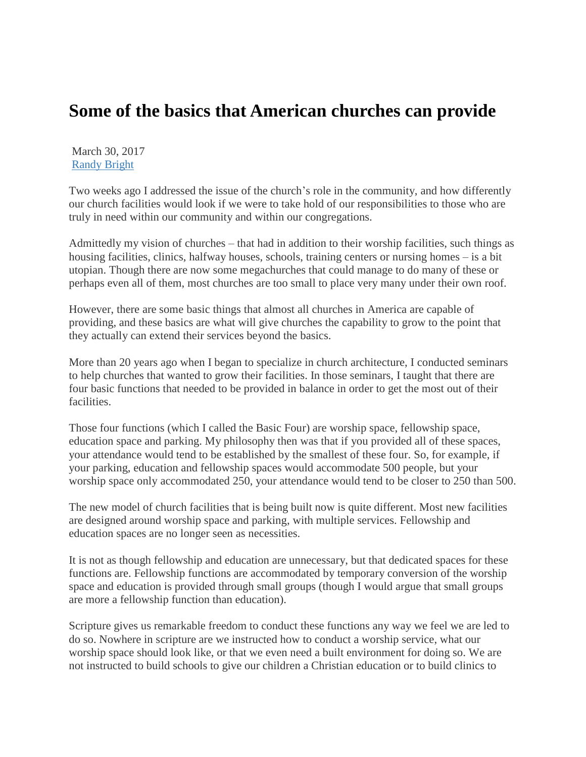## **Some of the basics that American churches can provide**

March 30, 2017 [Randy Bright](http://tulsabeacon.com/author/randy-bright/)

Two weeks ago I addressed the issue of the church's role in the community, and how differently our church facilities would look if we were to take hold of our responsibilities to those who are truly in need within our community and within our congregations.

Admittedly my vision of churches – that had in addition to their worship facilities, such things as housing facilities, clinics, halfway houses, schools, training centers or nursing homes – is a bit utopian. Though there are now some megachurches that could manage to do many of these or perhaps even all of them, most churches are too small to place very many under their own roof.

However, there are some basic things that almost all churches in America are capable of providing, and these basics are what will give churches the capability to grow to the point that they actually can extend their services beyond the basics.

More than 20 years ago when I began to specialize in church architecture, I conducted seminars to help churches that wanted to grow their facilities. In those seminars, I taught that there are four basic functions that needed to be provided in balance in order to get the most out of their facilities.

Those four functions (which I called the Basic Four) are worship space, fellowship space, education space and parking. My philosophy then was that if you provided all of these spaces, your attendance would tend to be established by the smallest of these four. So, for example, if your parking, education and fellowship spaces would accommodate 500 people, but your worship space only accommodated 250, your attendance would tend to be closer to 250 than 500.

The new model of church facilities that is being built now is quite different. Most new facilities are designed around worship space and parking, with multiple services. Fellowship and education spaces are no longer seen as necessities.

It is not as though fellowship and education are unnecessary, but that dedicated spaces for these functions are. Fellowship functions are accommodated by temporary conversion of the worship space and education is provided through small groups (though I would argue that small groups are more a fellowship function than education).

Scripture gives us remarkable freedom to conduct these functions any way we feel we are led to do so. Nowhere in scripture are we instructed how to conduct a worship service, what our worship space should look like, or that we even need a built environment for doing so. We are not instructed to build schools to give our children a Christian education or to build clinics to